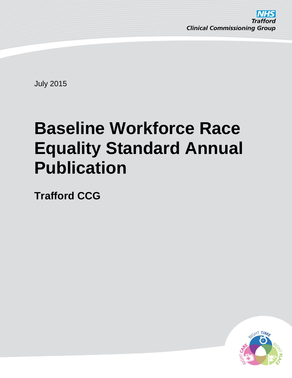

July 2015

# **Baseline Workforce Race Equality Standard Annual Publication**

**Trafford CCG**

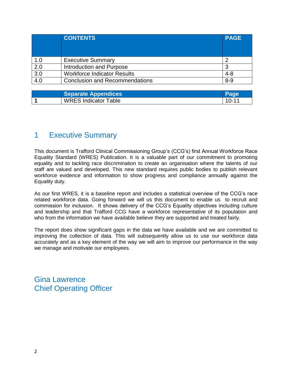|                  | <b>CONTENTS</b>                       | <b>PAGE</b> |
|------------------|---------------------------------------|-------------|
|                  |                                       |             |
| 1.0              | <b>Executive Summary</b>              |             |
| $\overline{2.0}$ | Introduction and Purpose              |             |
| $\overline{3.0}$ | <b>Workforce Indicator Results</b>    | $4 - 8$     |
| 4.0              | <b>Conclusion and Recommendations</b> | $8 - 9$     |

| <b>Separate Appendices</b>  |      |
|-----------------------------|------|
| <b>WRES Indicator Table</b> | ി റ– |

### 1 Executive Summary

This document is Trafford Clinical Commissioning Group's (CCG's) first Annual Workforce Race Equality Standard (WRES) Publication. It is a valuable part of our commitment to promoting equality and to tackling race discrimination to create an organisation where the talents of our staff are valued and developed. This new standard requires public bodies to publish relevant workforce evidence and information to show progress and compliance annually against the Equality duty.

As our first WRES, it is a baseline report and includes a statistical overview of the CCG's race related workforce data. Going forward we will us this document to enable us to recruit and commission for inclusion. It shows delivery of the CCG's Equality objectives including culture and leadership and that Trafford CCG have a workforce representative of its population and who from the information we have available believe they are supported and treated fairly.

The report does show significant gaps in the data we have available and we are committed to improving the collection of data. This will subsequently allow us to use our workforce data accurately and as a key element of the way we will aim to improve our performance in the way we manage and motivate our employees.

Gina Lawrence Chief Operating Officer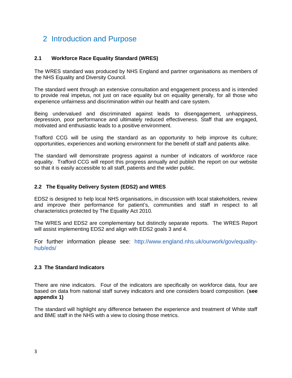## 2 Introduction and Purpose

#### **2.1 Workforce Race Equality Standard (WRES)**

The WRES standard was produced by NHS England and partner organisations as members of the NHS Equality and Diversity Council.

The standard went through an extensive consultation and engagement process and is intended to provide real impetus, not just on race equality but on equality generally, for all those who experience unfairness and discrimination within our health and care system.

Being undervalued and discriminated against leads to disengagement, unhappiness, depression, poor performance and ultimately reduced effectiveness. Staff that are engaged, motivated and enthusiastic leads to a positive environment.

Trafford CCG will be using the standard as an opportunity to help improve its culture; opportunities, experiences and working environment for the benefit of staff and patients alike.

The standard will demonstrate progress against a number of indicators of workforce race equality. Trafford CCG will report this progress annually and publish the report on our website so that it is easily accessible to all staff, patients and the wider public.

#### **2.2 The Equality Delivery System (EDS2) and WRES**

EDS2 is designed to help local NHS organisations, in discussion with local stakeholders, review and improve their performance for patient's, communities and staff in respect to all characteristics protected by The Equality Act 2010.

The WRES and EDS2 are complementary but distinctly separate reports. The WRES Report will assist implementing EDS2 and align with EDS2 goals 3 and 4.

For further information please see: [http://www.england.nhs.uk/ourwork/gov/equality](http://www.england.nhs.uk/ourwork/gov/equality-hub/eds/)[hub/eds/](http://www.england.nhs.uk/ourwork/gov/equality-hub/eds/)

#### **2.3 The Standard Indicators**

There are nine indicators. Four of the indicators are specifically on workforce data, four are based on data from national staff survey indicators and one considers board composition. (**see appendix 1)**

The standard will highlight any difference between the experience and treatment of White staff and BME staff in the NHS with a view to closing those metrics.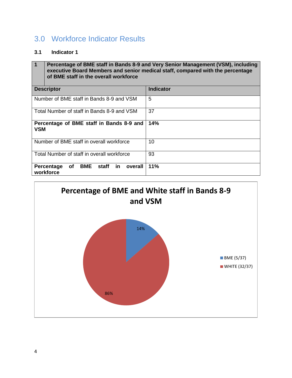## 3.0 Workforce Indicator Results

#### **3.1 Indicator 1**

**1 Percentage of BME staff in Bands 8-9 and Very Senior Management (VSM), including executive Board Members and senior medical staff, compared with the percentage of BME staff in the overall workforce Descriptor Indicator Indicator** Number of BME staff in Bands 8-9 and VSM 5 Total Number of staff in Bands 8-9 and VSM 37 **Percentage of BME staff in Bands 8-9 and VSM 14%** Number of BME staff in overall workforce 10 Total Number of staff in overall workforce 93 **Percentage of BME staff in overall 11% workforce**

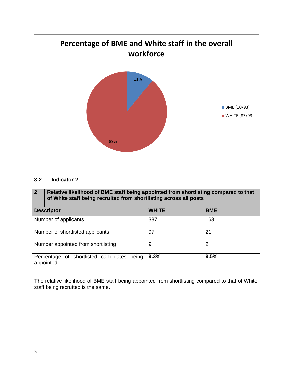

#### **3.2 Indicator 2**

| $\sqrt{2}$                         | Relative likelihood of BME staff being appointed from shortlisting compared to that<br>of White staff being recruited from shortlisting across all posts |              |                |
|------------------------------------|----------------------------------------------------------------------------------------------------------------------------------------------------------|--------------|----------------|
| <b>Descriptor</b>                  |                                                                                                                                                          | <b>WHITE</b> | <b>BME</b>     |
| Number of applicants               |                                                                                                                                                          | 387          | 163            |
| Number of shortlisted applicants   |                                                                                                                                                          | 97           | 21             |
| Number appointed from shortlisting |                                                                                                                                                          | 9            | $\overline{2}$ |
|                                    | of shortlisted candidates being<br>Percentage<br>appointed                                                                                               | 9.3%         | 9.5%           |

The relative likelihood of BME staff being appointed from shortlisting compared to that of White staff being recruited is the same.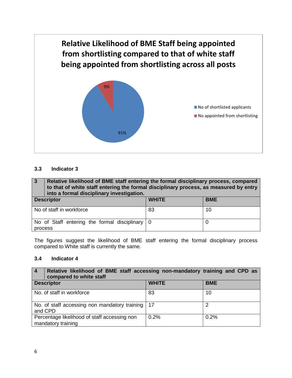

#### **3.3 Indicator 3**

**3 Relative likelihood of BME staff entering the formal disciplinary process, compared to that of white staff entering the formal disciplinary process, as measured by entry into a formal disciplinary investigation. Descriptor WHITE BME**

| <b>PUSSIBUS</b>                                  |    | ---- |
|--------------------------------------------------|----|------|
| No of staff in workforce                         | 83 | 10   |
|                                                  |    |      |
| No of Staff entering the formal disciplinary   0 |    |      |
| process                                          |    |      |

The figures suggest the likelihood of BME staff entering the formal disciplinary process compared to White staff is currently the same.

#### **3.4 Indicator 4**

| Relative likelihood of BME staff accessing non-mandatory training and CPD as<br><b>4</b><br>compared to white staff |              |            |
|---------------------------------------------------------------------------------------------------------------------|--------------|------------|
| <b>Descriptor</b>                                                                                                   | <b>WHITE</b> | <b>BME</b> |
| No. of staff in workforce                                                                                           | 83           | 10         |
| No. of staff accessing non mandatory training   17<br>and CPD                                                       |              | າ          |
| Percentage likelihood of staff accessing non<br>mandatory training                                                  | 0.2%         | 0.2%       |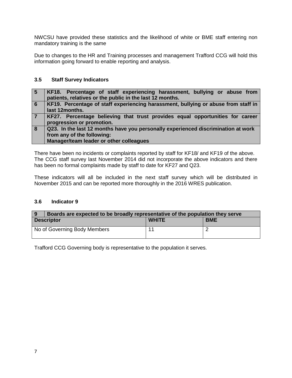NWCSU have provided these statistics and the likelihood of white or BME staff entering non mandatory training is the same

Due to changes to the HR and Training processes and management Trafford CCG will hold this information going forward to enable reporting and analysis.

#### **3.5 Staff Survey Indicators**

| -5 | KF18. Percentage of staff experiencing harassment, bullying or abuse from<br>patients, relatives or the public in the last 12 months.                      |
|----|------------------------------------------------------------------------------------------------------------------------------------------------------------|
| 6  | KF19. Percentage of staff experiencing harassment, bullying or abuse from staff in<br>last 12months.                                                       |
|    | KF27. Percentage believing that trust provides equal opportunities for career<br>progression or promotion.                                                 |
| 8  | Q23. In the last 12 months have you personally experienced discrimination at work<br>from any of the following:<br>Manager/team leader or other colleagues |

There have been no incidents or complaints reported by staff for KF18/ and KF19 of the above. The CCG staff survey last November 2014 did not incorporate the above indicators and there has been no formal complaints made by staff to date for KF27 and Q23.

These indicators will all be included in the next staff survey which will be distributed in November 2015 and can be reported more thoroughly in the 2016 WRES publication.

#### **3.6 Indicator 9**

| <b>9</b>          | Boards are expected to be broadly representative of the population they serve |              |            |  |
|-------------------|-------------------------------------------------------------------------------|--------------|------------|--|
| <b>Descriptor</b> |                                                                               | <b>WHITE</b> | <b>BME</b> |  |
|                   | No of Governing Body Members                                                  |              |            |  |

Trafford CCG Governing body is representative to the population it serves.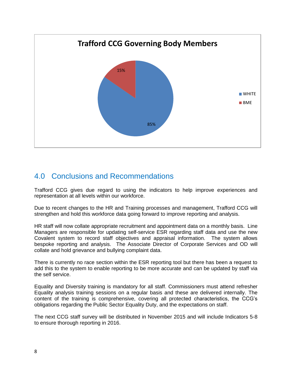

## 4.0 Conclusions and Recommendations

Trafford CCG gives due regard to using the indicators to help improve experiences and representation at all levels within our workforce.

Due to recent changes to the HR and Training processes and management, Trafford CCG will strengthen and hold this workforce data going forward to improve reporting and analysis.

HR staff will now collate appropriate recruitment and appointment data on a monthly basis. Line Managers are responsible for updating self-service ESR regarding staff data and use the new Covalent system to record staff objectives and appraisal information. The system allows bespoke reporting and analysis. The Associate Director of Corporate Services and OD will collate and hold grievance and bullying complaint data.

There is currently no race section within the ESR reporting tool but there has been a request to add this to the system to enable reporting to be more accurate and can be updated by staff via the self service.

Equality and Diversity training is mandatory for all staff. Commissioners must attend refresher Equality analysis training sessions on a regular basis and these are delivered internally. The content of the training is comprehensive, covering all protected characteristics, the CCG's obligations regarding the Public Sector Equality Duty, and the expectations on staff.

The next CCG staff survey will be distributed in November 2015 and will include Indicators 5-8 to ensure thorough reporting in 2016.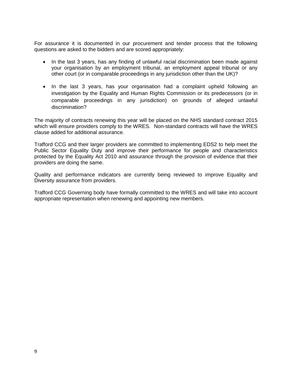For assurance it is documented in our procurement and tender process that the following questions are asked to the bidders and are scored appropriately:

- In the last 3 years, has any finding of unlawful racial discrimination been made against your organisation by an employment tribunal, an employment appeal tribunal or any other court (or in comparable proceedings in any jurisdiction other than the UK)?
- In the last 3 years, has your organisation had a complaint upheld following an investigation by the Equality and Human Rights Commission or its predecessors (or in comparable proceedings in any jurisdiction) on grounds of alleged unlawful discrimination?

The majority of contracts renewing this year will be placed on the NHS standard contract 2015 which will ensure providers comply to the WRES. Non-standard contracts will have the WRES clause added for additional assurance.

Trafford CCG and their larger providers are committed to implementing EDS2 to help meet the Public Sector Equality Duty and improve their performance for people and characteristics protected by the Equality Act 2010 and assurance through the provision of evidence that their providers are doing the same.

Quality and performance indicators are currently being reviewed to improve Equality and Diversity assurance from providers.

Trafford CCG Governing body have formally committed to the WRES and will take into account appropriate representation when renewing and appointing new members.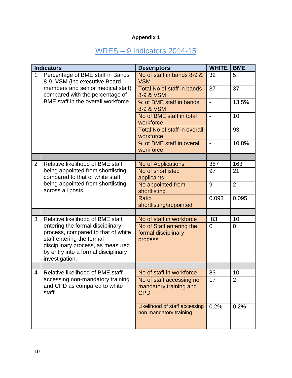## **Appendix 1**

## WRES – 9 Indicators 2014-15

|                | <b>Indicators</b>                                                                                                                                                                                 | <b>Descriptors</b>                                                | <b>WHITE</b>   | <b>BME</b>     |
|----------------|---------------------------------------------------------------------------------------------------------------------------------------------------------------------------------------------------|-------------------------------------------------------------------|----------------|----------------|
| 1              | Percentage of BME staff in Bands<br>8-9, VSM (inc executive Board                                                                                                                                 | No of staff in bands 8-9 &<br><b>VSM</b>                          | 32             | 5              |
|                | members and senior medical staff)<br>compared with the percentage of                                                                                                                              | Total No of staff in bands<br>8-9 & VSM                           | 37             | 37             |
|                | BME staff in the overall workforce                                                                                                                                                                | % of BME staff in bands<br>8-9 & VSM                              | $\blacksquare$ | 13.5%          |
|                |                                                                                                                                                                                                   | No of BME staff in total<br>workforce                             | $\blacksquare$ | 10             |
|                |                                                                                                                                                                                                   | <b>Total No of staff in overall</b><br>workforce                  |                | 93             |
|                |                                                                                                                                                                                                   | % of BME staff in overall<br>workforce                            | $\blacksquare$ | 10.8%          |
|                |                                                                                                                                                                                                   |                                                                   |                |                |
| $\overline{2}$ | Relative likelihood of BME staff                                                                                                                                                                  | No of Applications                                                | 387            | 163            |
|                | being appointed from shortlisting<br>compared to that of white staff                                                                                                                              | No of shortlisted<br>applicants                                   | 97             | 21             |
|                | being appointed from shortlisting<br>across all posts.                                                                                                                                            | No appointed from<br>shortlisting                                 | 9              | $\overline{2}$ |
|                |                                                                                                                                                                                                   | Ratio<br>shortlisting/appointed                                   | 0.093          | 0.095          |
|                |                                                                                                                                                                                                   |                                                                   |                |                |
| 3              | Relative likelihood of BME staff                                                                                                                                                                  | No of staff in workforce                                          | 83             | 10             |
|                | entering the formal disciplinary<br>process, compared to that of white<br>staff entering the formal<br>disciplinary process, as measured<br>by entry into a formal disciplinary<br>investigation. | No of Staff entering the<br>formal disciplinary<br>process        | $\overline{0}$ | $\mathbf 0$    |
|                |                                                                                                                                                                                                   |                                                                   |                |                |
| $\overline{4}$ | Relative likelihood of BME staff                                                                                                                                                                  | No of staff in workforce                                          | 83             | 10             |
|                | accessing non-mandatory training<br>and CPD as compared to white<br>staff                                                                                                                         | No of staff accessing non<br>mandatory training and<br><b>CPD</b> | 17             | 2              |
|                |                                                                                                                                                                                                   | Likelihood of staff accessing<br>non mandatory training           | 0.2%           | 0.2%           |